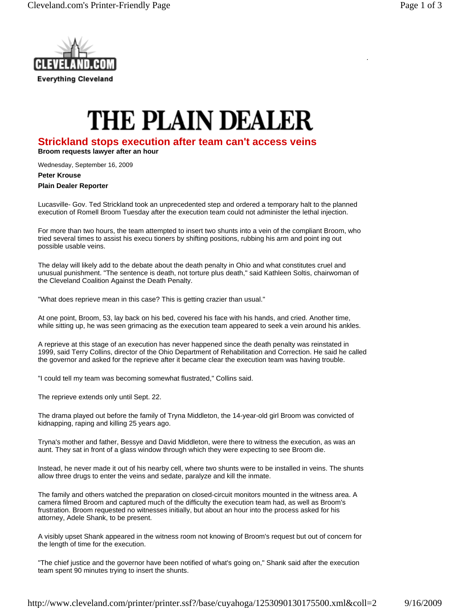

## **THE PLAIN DEALER**

## **Strickland stops execution after team can't access veins**

**Broom requests lawyer after an hour**

Wednesday, September 16, 2009

**Peter Krouse Plain Dealer Reporter** 

Lucasville- Gov. Ted Strickland took an unprecedented step and ordered a temporary halt to the planned execution of Romell Broom Tuesday after the execution team could not administer the lethal injection.

For more than two hours, the team attempted to insert two shunts into a vein of the compliant Broom, who tried several times to assist his execu tioners by shifting positions, rubbing his arm and point ing out possible usable veins.

The delay will likely add to the debate about the death penalty in Ohio and what constitutes cruel and unusual punishment. "The sentence is death, not torture plus death," said Kathleen Soltis, chairwoman of the Cleveland Coalition Against the Death Penalty.

"What does reprieve mean in this case? This is getting crazier than usual."

At one point, Broom, 53, lay back on his bed, covered his face with his hands, and cried. Another time, while sitting up, he was seen grimacing as the execution team appeared to seek a vein around his ankles.

A reprieve at this stage of an execution has never happened since the death penalty was reinstated in 1999, said Terry Collins, director of the Ohio Department of Rehabilitation and Correction. He said he called the governor and asked for the reprieve after it became clear the execution team was having trouble.

"I could tell my team was becoming somewhat flustrated," Collins said.

The reprieve extends only until Sept. 22.

The drama played out before the family of Tryna Middleton, the 14-year-old girl Broom was convicted of kidnapping, raping and killing 25 years ago.

Tryna's mother and father, Bessye and David Middleton, were there to witness the execution, as was an aunt. They sat in front of a glass window through which they were expecting to see Broom die.

Instead, he never made it out of his nearby cell, where two shunts were to be installed in veins. The shunts allow three drugs to enter the veins and sedate, paralyze and kill the inmate.

The family and others watched the preparation on closed-circuit monitors mounted in the witness area. A camera filmed Broom and captured much of the difficulty the execution team had, as well as Broom's frustration. Broom requested no witnesses initially, but about an hour into the process asked for his attorney, Adele Shank, to be present.

A visibly upset Shank appeared in the witness room not knowing of Broom's request but out of concern for the length of time for the execution.

"The chief justice and the governor have been notified of what's going on," Shank said after the execution team spent 90 minutes trying to insert the shunts.

http://www.cleveland.com/printer/printer.ssf?/base/cuyahoga/1253090130175500.xml&coll=2 9/16/2009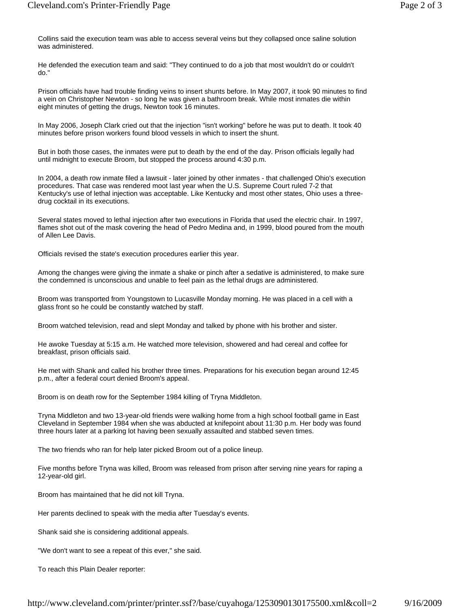Collins said the execution team was able to access several veins but they collapsed once saline solution was administered.

He defended the execution team and said: "They continued to do a job that most wouldn't do or couldn't do."

Prison officials have had trouble finding veins to insert shunts before. In May 2007, it took 90 minutes to find a vein on Christopher Newton - so long he was given a bathroom break. While most inmates die within eight minutes of getting the drugs, Newton took 16 minutes.

In May 2006, Joseph Clark cried out that the injection "isn't working" before he was put to death. It took 40 minutes before prison workers found blood vessels in which to insert the shunt.

But in both those cases, the inmates were put to death by the end of the day. Prison officials legally had until midnight to execute Broom, but stopped the process around 4:30 p.m.

In 2004, a death row inmate filed a lawsuit - later joined by other inmates - that challenged Ohio's execution procedures. That case was rendered moot last year when the U.S. Supreme Court ruled 7-2 that Kentucky's use of lethal injection was acceptable. Like Kentucky and most other states, Ohio uses a threedrug cocktail in its executions.

Several states moved to lethal injection after two executions in Florida that used the electric chair. In 1997, flames shot out of the mask covering the head of Pedro Medina and, in 1999, blood poured from the mouth of Allen Lee Davis.

Officials revised the state's execution procedures earlier this year.

Among the changes were giving the inmate a shake or pinch after a sedative is administered, to make sure the condemned is unconscious and unable to feel pain as the lethal drugs are administered.

Broom was transported from Youngstown to Lucasville Monday morning. He was placed in a cell with a glass front so he could be constantly watched by staff.

Broom watched television, read and slept Monday and talked by phone with his brother and sister.

He awoke Tuesday at 5:15 a.m. He watched more television, showered and had cereal and coffee for breakfast, prison officials said.

He met with Shank and called his brother three times. Preparations for his execution began around 12:45 p.m., after a federal court denied Broom's appeal.

Broom is on death row for the September 1984 killing of Tryna Middleton.

Tryna Middleton and two 13-year-old friends were walking home from a high school football game in East Cleveland in September 1984 when she was abducted at knifepoint about 11:30 p.m. Her body was found three hours later at a parking lot having been sexually assaulted and stabbed seven times.

The two friends who ran for help later picked Broom out of a police lineup.

Five months before Tryna was killed, Broom was released from prison after serving nine years for raping a 12-year-old girl.

Broom has maintained that he did not kill Tryna.

Her parents declined to speak with the media after Tuesday's events.

Shank said she is considering additional appeals.

"We don't want to see a repeat of this ever," she said.

To reach this Plain Dealer reporter: